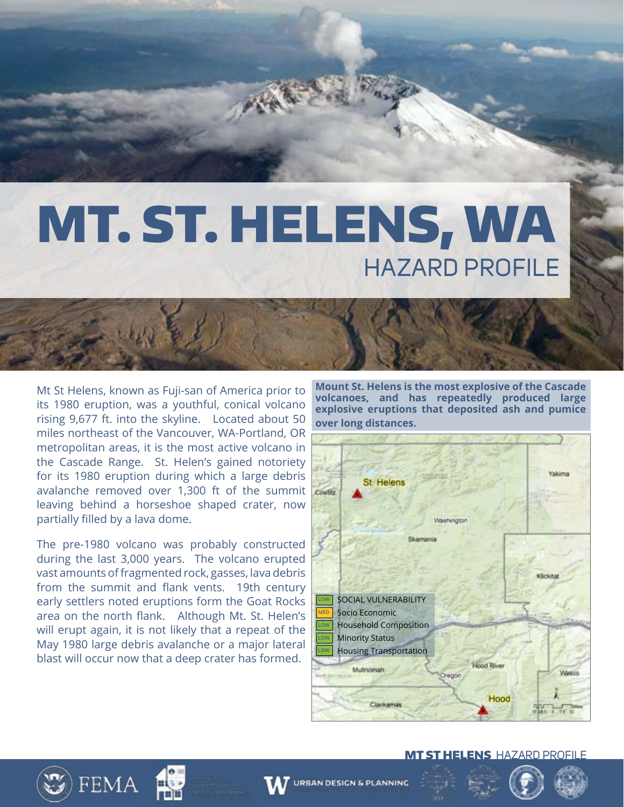## MT. ST. HELENS, WA HAZARD PROFILE

Mt St Helens, known as Fuji-san of America prior to its 1980 eruption, was a youthful, conical volcano rising 9,677 ft. into the skyline. Located about 50 miles northeast of the Vancouver, WA-Portland, OR metropolitan areas, it is the most active volcano in the Cascade Range. St. Helen's gained notoriety for its 1980 eruption during which a large debris avalanche removed over 1,300 ft of the summit leaving behind a horseshoe shaped crater, now partially filled by a lava dome.

The pre-1980 volcano was probably constructed during the last 3,000 years. The volcano erupted vast amounts of fragmented rock, gasses, lava debris from the summit and flank vents. 19th century early settlers noted eruptions form the Goat Rocks area on the north flank. Although Mt. St. Helen's will erupt again, it is not likely that a repeat of the May 1980 large debris avalanche or a major lateral blast will occur now that a deep crater has formed.

**FEMA** 

**Mount St. Helens is the most explosive of the Cascade volcanoes, and has repeatedly produced large explosive eruptions that deposited ash and pumice over long distances.**



#### MT ST HELENSHAZARD PROFILE



**URBAN DESIGN & PLANNING**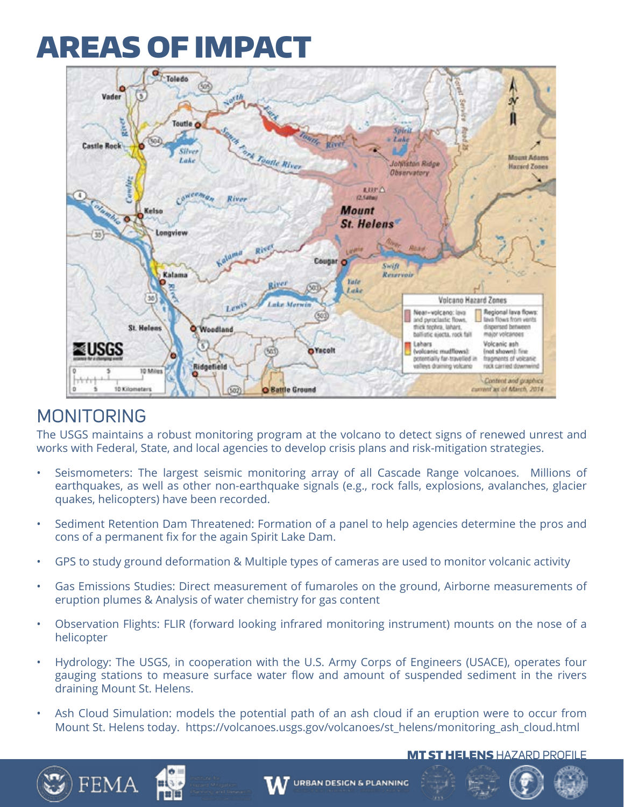## AREAS OF IMPACT



### MONITORING

The USGS maintains a robust monitoring program at the volcano to detect signs of renewed unrest and works with Federal, State, and local agencies to develop crisis plans and risk-mitigation strategies.

- Seismometers: The largest seismic monitoring array of all Cascade Range volcanoes. Millions of earthquakes, as well as other non-earthquake signals (e.g., rock falls, explosions, avalanches, glacier quakes, helicopters) have been recorded.
- Sediment Retention Dam Threatened: Formation of a panel to help agencies determine the pros and cons of a permanent fix for the again Spirit Lake Dam.
- GPS to study ground deformation & Multiple types of cameras are used to monitor volcanic activity
- Gas Emissions Studies: Direct measurement of fumaroles on the ground, Airborne measurements of eruption plumes & Analysis of water chemistry for gas content
- Observation Flights: FLIR (forward looking infrared monitoring instrument) mounts on the nose of a helicopter
- Hydrology: The USGS, in cooperation with the U.S. Army Corps of Engineers (USACE), operates four gauging stations to measure surface water flow and amount of suspended sediment in the rivers draining Mount St. Helens.
- Ash Cloud Simulation: models the potential path of an ash cloud if an eruption were to occur from Mount St. Helens today. https://volcanoes.usgs.gov/volcanoes/st\_helens/monitoring\_ash\_cloud.html

#### **MT ST HELENS HAZARD PROFILE**





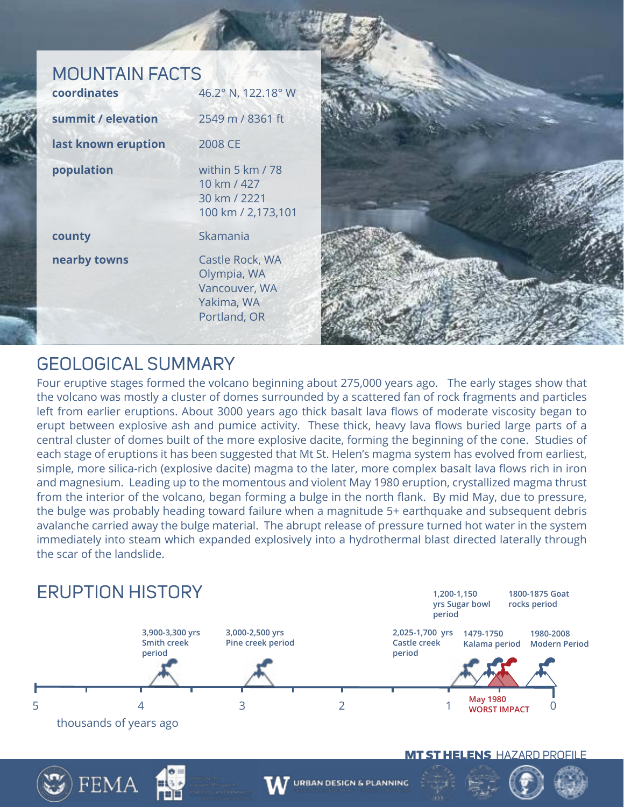### MOUNTAIN FACTS

| coordinates         | 46.2° N, 122.18° W                                                            |
|---------------------|-------------------------------------------------------------------------------|
| summit / elevation  | 2549 m / 8361 ft                                                              |
| last known eruption | 2008 CE                                                                       |
| population          | within 5 km / 78<br>10 km / 427<br>30 km / 2221<br>100 km / 2,173,101         |
| county              | Skamania                                                                      |
| nearby towns        | Castle Rock, WA<br>Olympia, WA<br>Vancouver, WA<br>Yakima, WA<br>Portland, OR |



### GEOLOGICAL SUMMARY

FEMA

Four eruptive stages formed the volcano beginning about 275,000 years ago. The early stages show that the volcano was mostly a cluster of domes surrounded by a scattered fan of rock fragments and particles left from earlier eruptions. About 3000 years ago thick basalt lava flows of moderate viscosity began to erupt between explosive ash and pumice activity. These thick, heavy lava flows buried large parts of a central cluster of domes built of the more explosive dacite, forming the beginning of the cone. Studies of each stage of eruptions it has been suggested that Mt St. Helen's magma system has evolved from earliest, simple, more silica-rich (explosive dacite) magma to the later, more complex basalt lava flows rich in iron and magnesium. Leading up to the momentous and violent May 1980 eruption, crystallized magma thrust from the interior of the volcano, began forming a bulge in the north flank. By mid May, due to pressure, the bulge was probably heading toward failure when a magnitude 5+ earthquake and subsequent debris avalanche carried away the bulge material. The abrupt release of pressure turned hot water in the system immediately into steam which expanded explosively into a hydrothermal blast directed laterally through the scar of the landslide.



MT ST HELENSHAZARD PROFILE

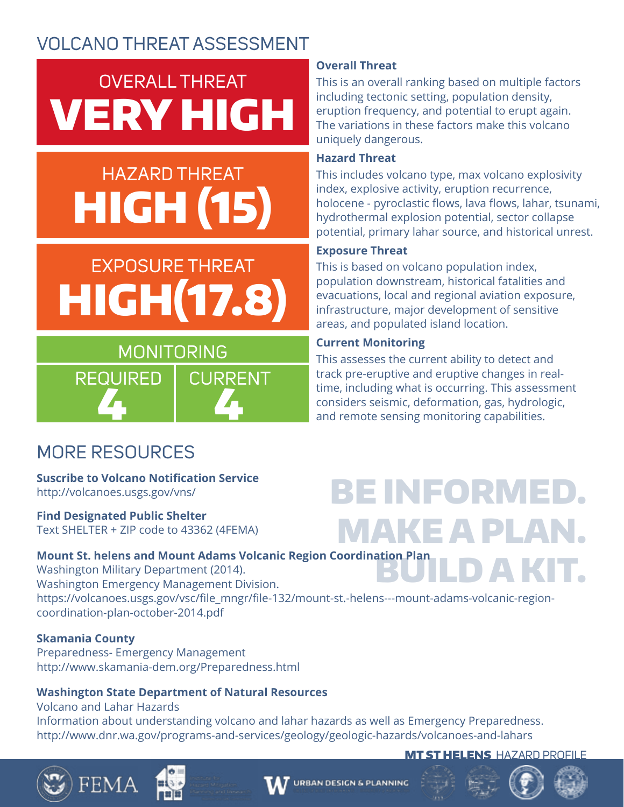### VOLCANO THREAT ASSESSMENT

## OVERALL THREAT VERY HIGH

## HAZARD THREAT HIGH (15)

## EXPOSURE THREAT HIGH(17.8)



#### **Overall Threat**

This is an overall ranking based on multiple factors including tectonic setting, population density, eruption frequency, and potential to erupt again. The variations in these factors make this volcano uniquely dangerous.

#### **Hazard Threat**

This includes volcano type, max volcano explosivity index, explosive activity, eruption recurrence, holocene - pyroclastic flows, lava flows, lahar, tsunami, hydrothermal explosion potential, sector collapse potential, primary lahar source, and historical unrest.

#### **Exposure Threat**

This is based on volcano population index, population downstream, historical fatalities and evacuations, local and regional aviation exposure, infrastructure, major development of sensitive areas, and populated island location.

#### **Current Monitoring**

This assesses the current ability to detect and track pre-eruptive and eruptive changes in realtime, including what is occurring. This assessment considers seismic, deformation, gas, hydrologic, and remote sensing monitoring capabilities.

BE INFORMED.

### MORE RESOURCES

#### **Suscribe to Volcano Notification Service**  http://volcanoes.usgs.gov/vns/

**Find Designated Public Shelter** Text SHELTER + ZIP code to 43362 (4FEMA)

## MAKE A PLAN.

BUILD A KIT. **Mount St. helens and Mount Adams Volcanic Region Coordination Plan** Washington Military Department (2014). Washington Emergency Management Division. https://volcanoes.usgs.gov/vsc/file\_mngr/file-132/mount-st.-helens---mount-adams-volcanic-regioncoordination-plan-october-2014.pdf

#### **Skamania County**

FEMA

Preparedness- Emergency Management http://www.skamania-dem.org/Preparedness.html

#### **Washington State Department of Natural Resources**

Volcano and Lahar Hazards Information about understanding volcano and lahar hazards as well as Emergency Preparedness. http://www.dnr.wa.gov/programs-and-services/geology/geologic-hazards/volcanoes-and-lahars

#### **MT ST HELENS** HAZARD PROFILE



#### **URBAN DESIGN & PLANNING**





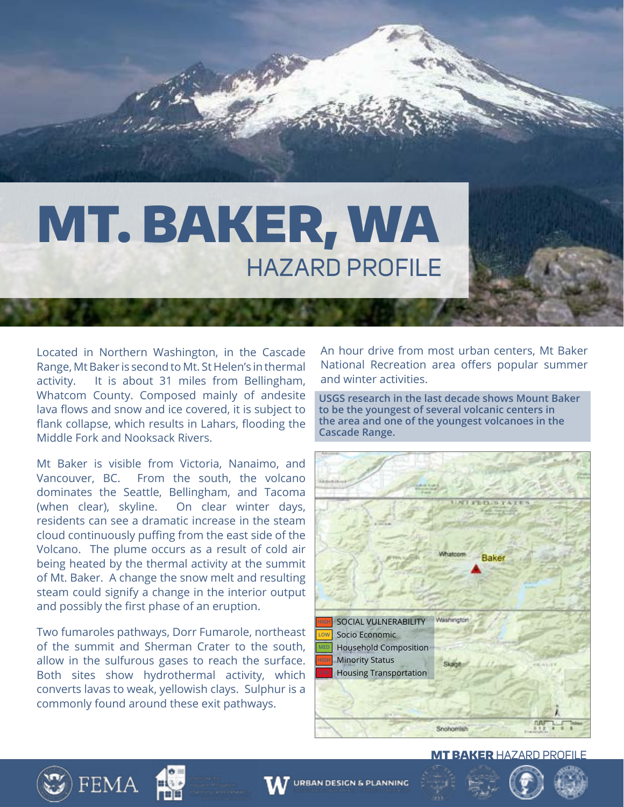# MT. BAKER, WA HAZARD PROFILE

Located in Northern Washington, in the Cascade Range, Mt Baker is second to Mt. St Helen's in thermal activity. It is about 31 miles from Bellingham, Whatcom County. Composed mainly of andesite lava flows and snow and ice covered, it is subject to flank collapse, which results in Lahars, flooding the Middle Fork and Nooksack Rivers.

Mt Baker is visible from Victoria, Nanaimo, and Vancouver, BC. From the south, the volcano dominates the Seattle, Bellingham, and Tacoma (when clear), skyline. On clear winter days, residents can see a dramatic increase in the steam cloud continuously puffing from the east side of the Volcano. The plume occurs as a result of cold air being heated by the thermal activity at the summit of Mt. Baker. A change the snow melt and resulting steam could signify a change in the interior output and possibly the first phase of an eruption.

Two fumaroles pathways, Dorr Fumarole, northeast of the summit and Sherman Crater to the south, allow in the sulfurous gases to reach the surface. Both sites show hydrothermal activity, which converts lavas to weak, yellowish clays. Sulphur is a commonly found around these exit pathways.

**FEMA** 

An hour drive from most urban centers, Mt Baker National Recreation area offers popular summer and winter activities.

**USGS research in the last decade shows Mount Baker to be the youngest of several volcanic centers in the area and one of the youngest volcanoes in the Cascade Range.** 



#### **MT BAKER HAZARD PROFILE**



**URBAN DESIGN & PLANNING**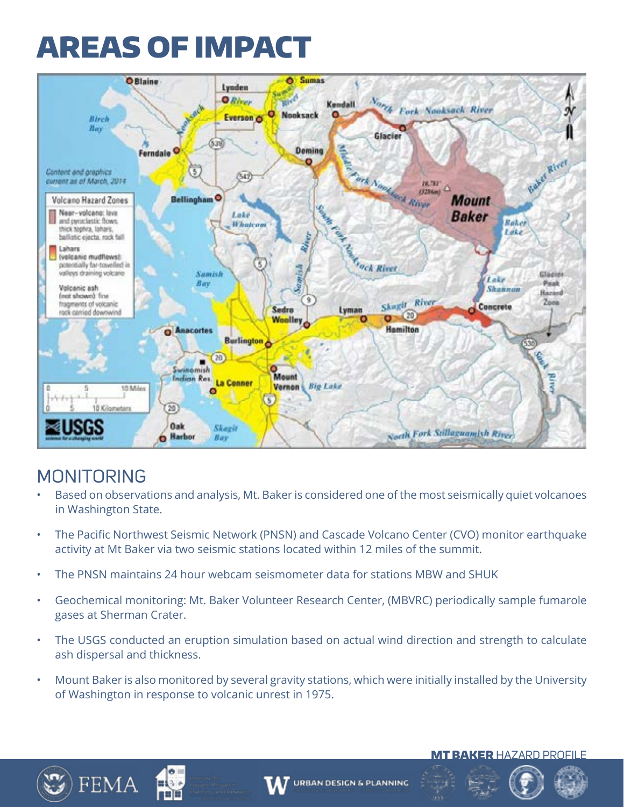## AREAS OF IMPACT



### MONITORING

- Based on observations and analysis, Mt. Baker is considered one of the most seismically quiet volcanoes in Washington State.
- The Pacific Northwest Seismic Network (PNSN) and Cascade Volcano Center (CVO) monitor earthquake activity at Mt Baker via two seismic stations located within 12 miles of the summit.
- The PNSN maintains 24 hour webcam seismometer data for stations MBW and SHUK
- Geochemical monitoring: Mt. Baker Volunteer Research Center, (MBVRC) periodically sample fumarole gases at Sherman Crater.
- The USGS conducted an eruption simulation based on actual wind direction and strength to calculate ash dispersal and thickness.
- Mount Baker is also monitored by several gravity stations, which were initially installed by the University of Washington in response to volcanic unrest in 1975.







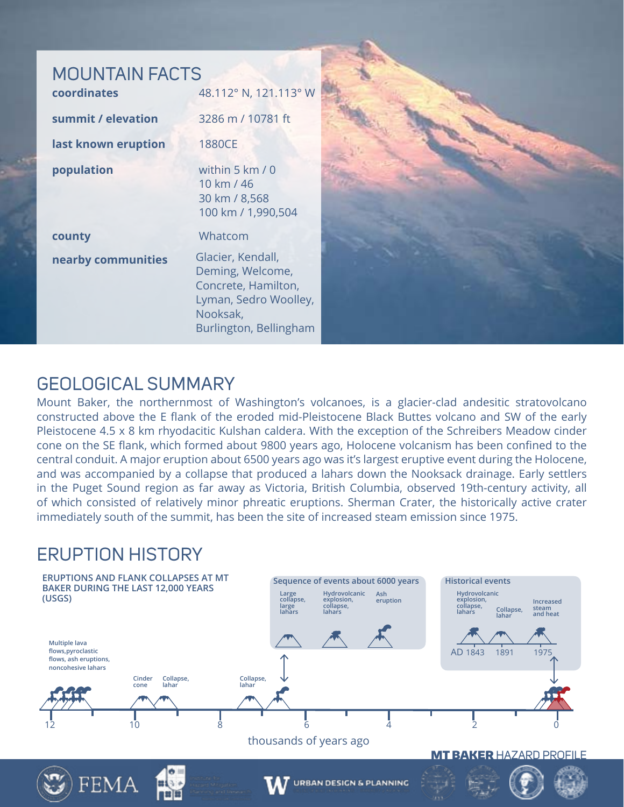| <b>MOUNTAIN FACTS</b><br>coordinates | 48.112° N, 121.113° W                                                                                                       |  |
|--------------------------------------|-----------------------------------------------------------------------------------------------------------------------------|--|
| summit / elevation                   | 3286 m / 10781 ft                                                                                                           |  |
| last known eruption                  | 1880CE                                                                                                                      |  |
| population                           | within 5 km / 0<br>10 km / 46<br>30 km / 8,568<br>100 km / 1,990,504                                                        |  |
| county                               | Whatcom                                                                                                                     |  |
| nearby communities                   | Glacier, Kendall,<br>Deming, Welcome,<br>Concrete, Hamilton,<br>Lyman, Sedro Woolley,<br>Nooksak,<br>Burlington, Bellingham |  |

### GEOLOGICAL SUMMARY

Mount Baker, the northernmost of Washington's volcanoes, is a glacier-clad andesitic stratovolcano constructed above the E flank of the eroded mid-Pleistocene Black Buttes volcano and SW of the early Pleistocene 4.5 x 8 km rhyodacitic Kulshan caldera. With the exception of the Schreibers Meadow cinder cone on the SE flank, which formed about 9800 years ago, Holocene volcanism has been confined to the central conduit. A major eruption about 6500 years ago was it's largest eruptive event during the Holocene, and was accompanied by a collapse that produced a lahars down the Nooksack drainage. Early settlers in the Puget Sound region as far away as Victoria, British Columbia, observed 19th-century activity, all of which consisted of relatively minor phreatic eruptions. Sherman Crater, the historically active crater immediately south of the summit, has been the site of increased steam emission since 1975.

### ERUPTION HISTORY

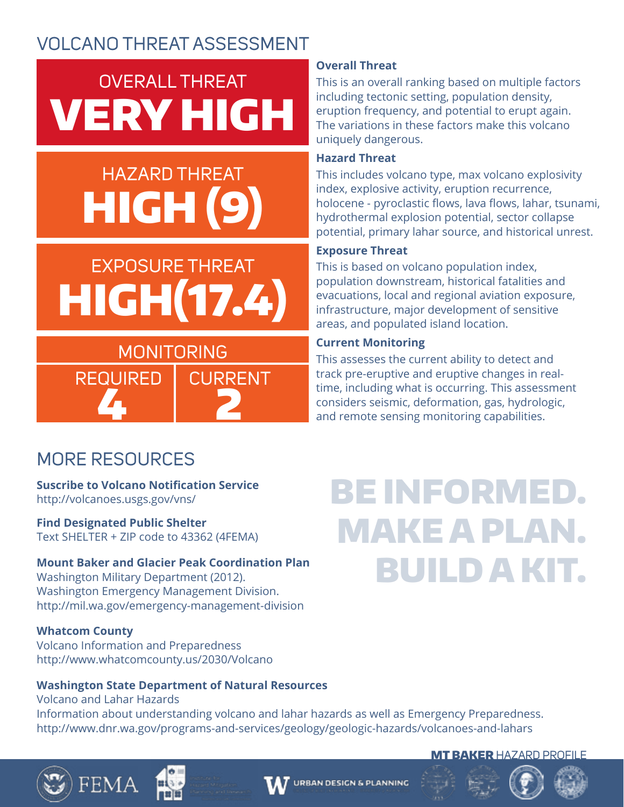### VOLCANO THREAT ASSESSMENT

## OVERALL THREAT VERY HIGH

## HAZARD THREAT HIGH (9)

## EXPOSURE THREAT HIGH(17.4)

### MONITORING REQUIRED | CURRENT 4 2

#### **Overall Threat**

This is an overall ranking based on multiple factors including tectonic setting, population density, eruption frequency, and potential to erupt again. The variations in these factors make this volcano uniquely dangerous.

#### **Hazard Threat**

This includes volcano type, max volcano explosivity index, explosive activity, eruption recurrence, holocene - pyroclastic flows, lava flows, lahar, tsunami, hydrothermal explosion potential, sector collapse potential, primary lahar source, and historical unrest.

#### **Exposure Threat**

This is based on volcano population index, population downstream, historical fatalities and evacuations, local and regional aviation exposure, infrastructure, major development of sensitive areas, and populated island location.

#### **Current Monitoring**

This assesses the current ability to detect and track pre-eruptive and eruptive changes in realtime, including what is occurring. This assessment considers seismic, deformation, gas, hydrologic, and remote sensing monitoring capabilities.

### MORE RESOURCES

**Suscribe to Volcano Notification Service**  http://volcanoes.usgs.gov/vns/

**Find Designated Public Shelter** Text SHELTER + ZIP code to 43362 (4FEMA)

#### **Mount Baker and Glacier Peak Coordination Plan**

Washington Military Department (2012). Washington Emergency Management Division. http://mil.wa.gov/emergency-management-division

#### **Whatcom County**

Volcano Information and Preparedness http://www.whatcomcounty.us/2030/Volcano

#### **Washington State Department of Natural Resources**

Volcano and Lahar Hazards Information about understanding volcano and lahar hazards as well as Emergency Preparedness. http://www.dnr.wa.gov/programs-and-services/geology/geologic-hazards/volcanoes-and-lahars

## BE INFORMED. MAKE A PLAN. BUILD A KIT.







#### **MT BAKER HAZARD PROFILE**



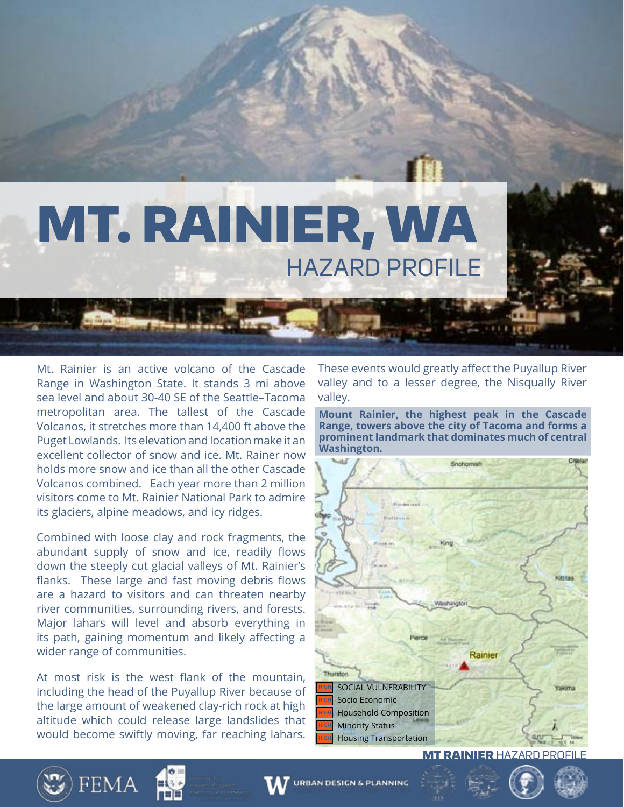

Mt. Rainier is an active volcano of the Cascade Range in Washington State. It stands 3 mi above sea level and about 30-40 SE of the Seattle–Tacoma metropolitan area. The tallest of the Cascade Volcanos, it stretches more than 14,400 ft above the Puget Lowlands. Its elevation and location make it an excellent collector of snow and ice. Mt. Rainer now holds more snow and ice than all the other Cascade Volcanos combined. Each year more than 2 million visitors come to Mt. Rainier National Park to admire its glaciers, alpine meadows, and icy ridges.

Combined with loose clay and rock fragments, the abundant supply of snow and ice, readily flows down the steeply cut glacial valleys of Mt. Rainier's flanks. These large and fast moving debris flows are a hazard to visitors and can threaten nearby river communities, surrounding rivers, and forests. Major lahars will level and absorb everything in its path, gaining momentum and likely affecting a wider range of communities.

At most risk is the west flank of the mountain, including the head of the Puyallup River because of the large amount of weakened clay-rich rock at high altitude which could release large landslides that would become swiftly moving, far reaching lahars.

These events would greatly affect the Puyallup River valley and to a lesser degree, the Nisqually River valley.

**Mount Rainier, the highest peak in the Cascade Range, towers above the city of Tacoma and forms a prominent landmark that dominates much of central Washington.** 



**MT RAINIER HAZARD PROFIL** 





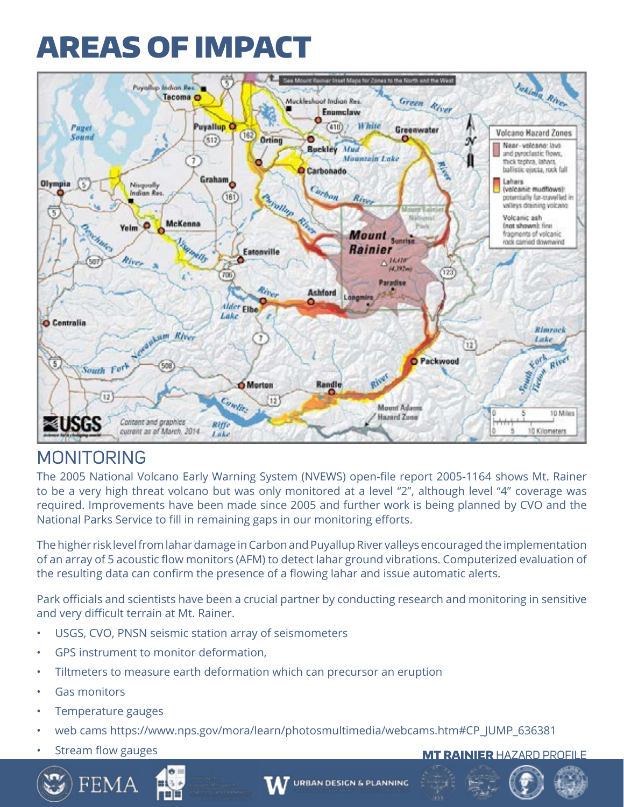## AREAS OF IMPACT



### MONITORING

The 2005 National Volcano Early Warning System (NVEWS) open-file report 2005-1164 shows Mt. Rainer to be a very high threat volcano but was only monitored at a level "2", although level "4" coverage was required. Improvements have been made since 2005 and further work is being planned by CVO and the National Parks Service to fill in remaining gaps in our monitoring efforts.

The higher risk level from lahar damage in Carbon and Puyallup River valleys encouraged the implementation of an array of 5 acoustic flow monitors (AFM) to detect lahar ground vibrations. Computerized evaluation of the resulting data can confirm the presence of a flowing lahar and issue automatic alerts.

Park officials and scientists have been a crucial partner by conducting research and monitoring in sensitive and very difficult terrain at Mt. Rainer.

- USGS, CVO, PNSN seismic station array of seismometers
- GPS instrument to monitor deformation,
- Tiltmeters to measure earth deformation which can precursor an eruption
- Gas monitors
- Temperature gauges
- web cams https://www.nps.gov/mora/learn/photosmultimedia/webcams.htm#CP\_JUMP\_636381
- 







#### extream flow gauges and the stream of the stream of the stream of the stream of the stream of the stream of the stream of the stream of the stream of the stream of the stream of the stream of the stream of the stream of th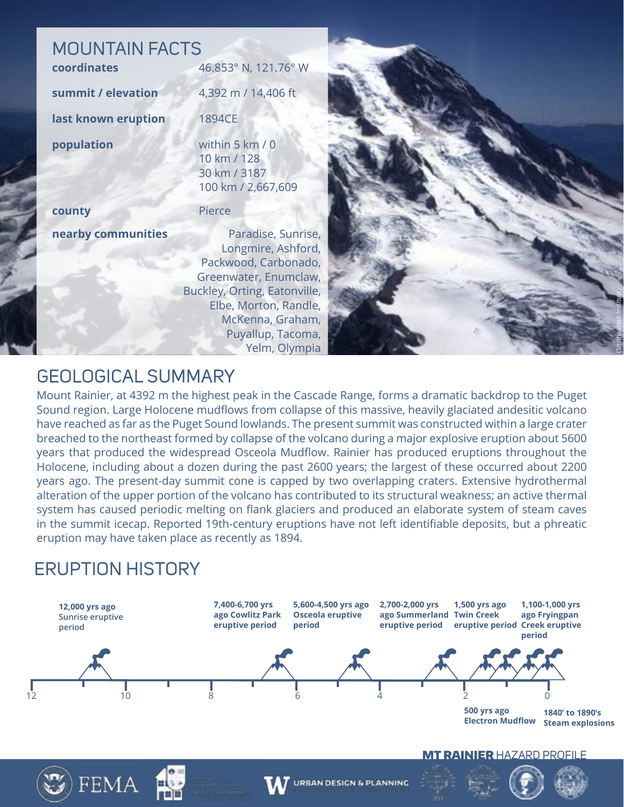### MOUNTAIN FACTS

| coordinates         | 46.853° N, 121.76° W                                                                                                                               |
|---------------------|----------------------------------------------------------------------------------------------------------------------------------------------------|
| summit / elevation  | 4,392 m / 14,406 ft                                                                                                                                |
| last known eruption | <b>1894CE</b>                                                                                                                                      |
| population          | within 5 km / 0<br>10 km / 128<br>30 km / 3187<br>100 km / 2,667,609                                                                               |
| county              | Pierce                                                                                                                                             |
| nearby communities  | Paradise, Sunrise,<br>Longmire, Ashford,<br>Packwood, Carbonado,<br>Greenwater, Enumclaw,<br>Buckley, Orting, Eatonville,<br>Elbe, Morton, Randle, |



Mount Rainier, at 4392 m the highest peak in the Cascade Range, forms a dramatic backdrop to the Puget Sound region. Large Holocene mudflows from collapse of this massive, heavily glaciated andesitic volcano have reached as far as the Puget Sound lowlands. The present summit was constructed within a large crater breached to the northeast formed by collapse of the volcano during a major explosive eruption about 5600 years that produced the widespread Osceola Mudflow. Rainier has produced eruptions throughout the Holocene, including about a dozen during the past 2600 years; the largest of these occurred about 2200 years ago. The present-day summit cone is capped by two overlapping craters. Extensive hydrothermal alteration of the upper portion of the volcano has contributed to its structural weakness; an active thermal system has caused periodic melting on flank glaciers and produced an elaborate system of steam caves in the summit icecap. Reported 19th-century eruptions have not left identifiable deposits, but a phreatic eruption may have taken place as recently as 1894.

McKenna, Graham, Puyallup, Tacoma, Yelm, Olympia

(Smithsonian Institute)

### ERUPTION HISTORY